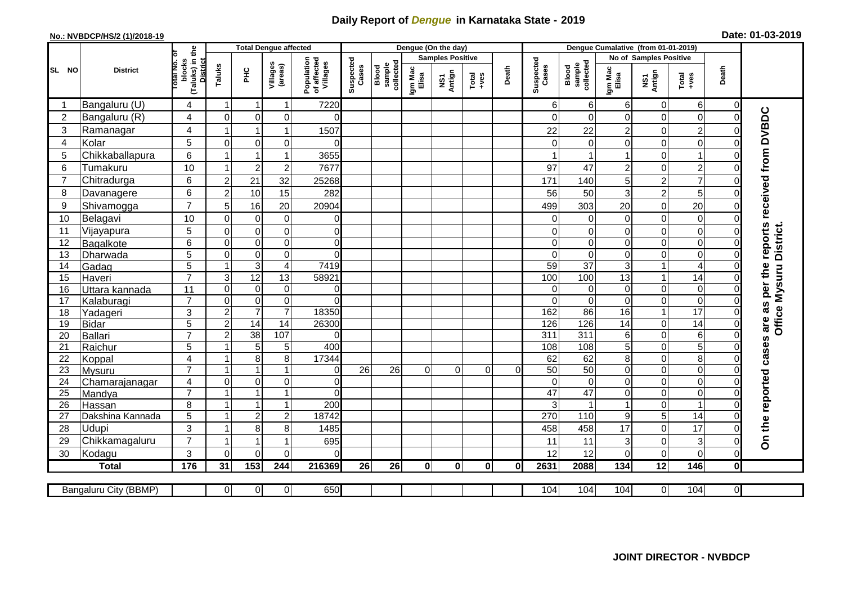## **Daily Report of** *Dengue* **in Karnataka State - 2019**

## **No.: NVBDCP/HS/2 (1)/2018-19 Date: 01-03-2019**

|                | <b>District</b>       |                                                      | <b>Total Dengue affected</b> |                 |                     |                                       |                    |                              |                         | Dengue (On the day) |                |                |                    |                                     |                        |                 |                        |                |                                                                  |
|----------------|-----------------------|------------------------------------------------------|------------------------------|-----------------|---------------------|---------------------------------------|--------------------|------------------------------|-------------------------|---------------------|----------------|----------------|--------------------|-------------------------------------|------------------------|-----------------|------------------------|----------------|------------------------------------------------------------------|
|                |                       |                                                      |                              |                 |                     |                                       |                    |                              | <b>Samples Positive</b> |                     |                |                |                    |                                     | No of Samples Positive |                 |                        |                |                                                                  |
| SL NO          |                       | (Taluks) in the<br>District<br>otal No. ol<br>blocks | Taluks                       | ΞÉ              | Villages<br>(areas) | Population<br>of affected<br>Villages | Suspected<br>Cases | Blood<br>sample<br>collected | Igm Mac<br>Elisa        | NS1<br>Antign       | Total<br>+ves  | Death          | Suspected<br>Cases | collected<br><b>Blood</b><br>sample | Igm Mac<br>Elisa       | NS1<br>Antign   | Death<br>Total<br>+ves |                |                                                                  |
|                | Bangaluru (U)         | 4                                                    | $\overline{1}$               | -1              | $\mathbf{1}$        | 7220                                  |                    |                              |                         |                     |                |                | 6                  | 6                                   | 6                      | $\mathbf 0$     | 6                      | $\mathbf 0$    |                                                                  |
| $\overline{2}$ | Bangaluru (R)         | 4                                                    | $\Omega$                     | $\mathbf 0$     | $\mathbf 0$         | $\Omega$                              |                    |                              |                         |                     |                |                | $\Omega$           | $\Omega$                            | $\Omega$               | 0               | $\mathbf 0$            | $\Omega$       |                                                                  |
| 3              | Ramanagar             | 4                                                    | 1                            | $\overline{1}$  | $\mathbf{1}$        | 1507                                  |                    |                              |                         |                     |                |                | 22                 | 22                                  | $\overline{c}$         | 0               | $\overline{2}$         | $\Omega$       | On the reported cases are as per the reports received from DVBDC |
| 4              | Kolar                 | 5                                                    | $\Omega$                     | 0               | 0                   | $\Omega$                              |                    |                              |                         |                     |                |                | 0                  | $\Omega$                            | 0                      | 0               | $\overline{0}$         | 0              |                                                                  |
| 5              | Chikkaballapura       | 6                                                    |                              | -1              | $\mathbf{1}$        | 3655                                  |                    |                              |                         |                     |                |                |                    |                                     |                        | 0               | $\mathbf{1}$           | $\Omega$       |                                                                  |
| 6              | Tumakuru              | 10                                                   |                              | $\overline{c}$  | $\boldsymbol{2}$    | 7677                                  |                    |                              |                         |                     |                |                | 97                 | 47                                  | $\overline{c}$         | 0               | $\overline{c}$         | $\mathbf 0$    |                                                                  |
| 7              | Chitradurga           | 6                                                    | $\overline{c}$               | 21              | 32                  | 25268                                 |                    |                              |                         |                     |                |                | 171                | 140                                 | 5                      | $\overline{c}$  | $\overline{7}$         | $\Omega$       |                                                                  |
| 8              | Davanagere            | 6                                                    | $\overline{2}$               | 10              | 15                  | 282                                   |                    |                              |                         |                     |                |                | 56                 | 50                                  | 3                      | $\overline{c}$  | 5                      | $\Omega$       |                                                                  |
| 9              | Shivamogga            | $\overline{7}$                                       | 5                            | 16              | 20                  | 20904                                 |                    |                              |                         |                     |                |                | 499                | 303                                 | 20                     | 0               | 20                     | 0              |                                                                  |
| 10             | Belagavi              | 10                                                   | $\Omega$                     | $\mathbf 0$     | $\mathbf 0$         | $\overline{0}$                        |                    |                              |                         |                     |                |                | $\Omega$           | $\Omega$                            | $\mathbf 0$            | 0               | $\overline{0}$         | $\Omega$       |                                                                  |
| 11             | Vijayapura            | 5                                                    | $\mathbf 0$                  | $\pmb{0}$       | $\pmb{0}$           | $\overline{0}$                        |                    |                              |                         |                     |                |                | $\Omega$           | $\Omega$                            | 0                      | 0               | $\mathbf 0$            | $\Omega$       | District.                                                        |
| 12             | Bagalkote             | 6                                                    | 0                            | $\mathbf 0$     | $\pmb{0}$           | $\overline{0}$                        |                    |                              |                         |                     |                |                | 0                  | $\Omega$                            | 0                      | 0               | $\mathbf 0$            | 0              |                                                                  |
| 13             | Dharwada              | 5                                                    | $\Omega$                     | $\mathbf 0$     | $\pmb{0}$           | $\Omega$                              |                    |                              |                         |                     |                |                | $\Omega$           | $\Omega$                            | $\Omega$               | 0               | 0                      | $\Omega$       |                                                                  |
| 14             | Gadag                 | $\overline{5}$                                       | $\overline{1}$               | $\overline{3}$  | $\overline{4}$      | 7419                                  |                    |                              |                         |                     |                |                | 59                 | $\overline{37}$                     | 3                      | $\mathbf{1}$    | $\overline{4}$         | $\Omega$       |                                                                  |
| 15             | Haveri                | $\overline{7}$                                       | 3                            | 12              | $\overline{13}$     | 58921                                 |                    |                              |                         |                     |                |                | 100                | 100                                 | 13                     | $\mathbf{1}$    | 14                     | $\bigcap$      |                                                                  |
| 16             | Uttara kannada        | 11                                                   | $\mathbf 0$                  | $\pmb{0}$       | $\overline{0}$      | $\overline{0}$                        |                    |                              |                         |                     |                |                | $\Omega$           | $\mathbf 0$                         | $\mathbf 0$            | 0               | $\overline{0}$         | $\mathbf 0$    | Office Mysuru                                                    |
| 17             | Kalaburagi            | $\overline{7}$                                       | $\mathbf 0$                  | $\pmb{0}$       | $\overline{0}$      | $\overline{0}$                        |                    |                              |                         |                     |                |                | $\Omega$           | $\overline{0}$                      | $\mathbf 0$            | 0               | $\overline{0}$         | $\mathbf 0$    |                                                                  |
| 18             | Yadageri              | 3                                                    | $\overline{c}$               | $\overline{7}$  | $\overline{7}$      | 18350                                 |                    |                              |                         |                     |                |                | 162                | 86                                  | 16                     | $\mathbf{1}$    | $\overline{17}$        | $\Omega$       |                                                                  |
| 19             | <b>Bidar</b>          | 5                                                    | $\overline{2}$               | 14              | $\overline{14}$     | 26300                                 |                    |                              |                         |                     |                |                | 126                | 126                                 | 14                     | 0               | 14                     | $\Omega$       |                                                                  |
| 20             | Ballari               | $\overline{7}$                                       | $\overline{2}$               | $\overline{38}$ | 107                 | $\Omega$                              |                    |                              |                         |                     |                |                | $\overline{311}$   | 311                                 | 6                      | 0               | $\overline{6}$         | $\Omega$       |                                                                  |
| 21             | Raichur               | 5                                                    | $\mathbf{1}$                 | $\sqrt{5}$      | $\sqrt{5}$          | 400                                   |                    |                              |                         |                     |                |                | 108                | 108                                 | 5                      | 0               | $\overline{5}$         | $\mathbf 0$    |                                                                  |
| 22             | Koppal                | 4                                                    |                              | 8               | 8                   | 17344                                 |                    |                              |                         |                     |                |                | 62                 | 62                                  | 8                      | 0               | 8                      | $\Omega$       |                                                                  |
| 23             | <b>Mysuru</b>         | $\overline{7}$                                       |                              | $\overline{1}$  | $\mathbf{1}$        | $\overline{0}$                        | 26                 | 26                           | 0                       | 0                   | $\overline{0}$ | $\overline{0}$ | 50                 | 50                                  | $\mathbf 0$            | 0               | $\overline{0}$         | $\mathbf 0$    |                                                                  |
| 24             | Chamarajanagar        | 4                                                    | $\Omega$                     | $\mathbf 0$     | $\mathbf 0$         | $\overline{0}$                        |                    |                              |                         |                     |                |                | $\Omega$           | $\overline{0}$                      | $\mathbf 0$            | $\mathbf 0$     | $\overline{0}$         | $\Omega$       |                                                                  |
| 25             | Mandya                | $\overline{7}$                                       |                              | $\overline{1}$  | $\mathbf{1}$        | $\overline{0}$                        |                    |                              |                         |                     |                |                | 47                 | 47                                  | $\Omega$               | 0               | $\overline{0}$         | $\Omega$       |                                                                  |
| 26             | Hassan                | 8                                                    |                              | $\overline{1}$  | $\mathbf{1}$        | 200                                   |                    |                              |                         |                     |                |                | 3                  |                                     |                        | 0               | $\mathbf{1}$           | 0              |                                                                  |
| 27             | Dakshina Kannada      | 5                                                    |                              | $\overline{2}$  | $\overline{c}$      | 18742                                 |                    |                              |                         |                     |                |                | 270                | 110                                 | 9                      | 5               | $\overline{14}$        | $\Omega$       |                                                                  |
| 28             | <b>Udupi</b>          | 3                                                    | $\mathbf{1}$                 | 8               | 8                   | 1485                                  |                    |                              |                         |                     |                |                | 458                | 458                                 | 17                     | 0               | 17                     | $\Omega$       |                                                                  |
| 29             | Chikkamagaluru        | $\overline{7}$                                       | -1                           |                 | 1                   | 695                                   |                    |                              |                         |                     |                |                | 11                 | 11                                  | 3                      | 0               | $\overline{3}$         | 0              |                                                                  |
| 30             | Kodagu                | 3                                                    | $\Omega$                     | $\mathbf{0}$    | 0                   | $\Omega$                              |                    |                              |                         |                     |                |                | 12                 | 12                                  | 0                      | 0               | $\overline{0}$         | $\Omega$       |                                                                  |
|                | <b>Total</b>          | $\frac{1}{176}$                                      | 31                           | 153             | 244                 | 216369                                | 26                 | 26                           | $\mathbf 0$             | $\mathbf 0$         | $\mathbf{0}$   | $\mathbf 0$    | 2631               | 2088                                | 134                    | $\overline{12}$ | $\frac{146}{ }$        | $\mathbf 0$    |                                                                  |
|                | Bangaluru City (BBMP) |                                                      | $\Omega$                     | $\overline{0}$  | $\overline{0}$      | 650                                   |                    |                              |                         |                     |                |                | 104                | 104                                 | 104                    | $\overline{0}$  | 104                    | $\overline{0}$ |                                                                  |